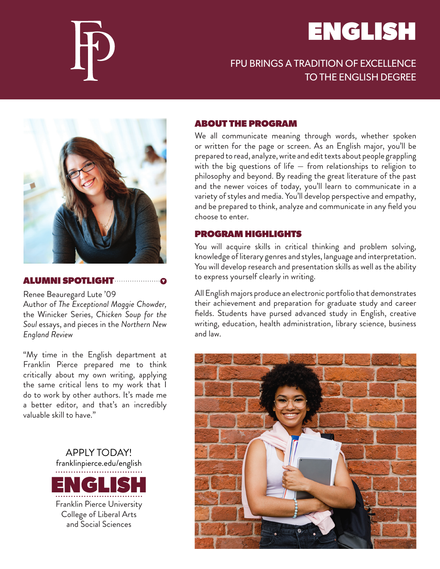# ENGLISH





#### ALUMNI SPOTLIGHT

Renee Beauregard Lute '09 Author of *The Exceptional Maggie Chowder,*  the Winicker Series, *Chicken Soup for the Soul* essays, and pieces in the *Northern New England Review*

"My time in the English department at Franklin Pierce prepared me to think critically about my own writing, applying the same critical lens to my work that I do to work by other authors. It's made me a better editor, and that's an incredibly valuable skill to have."



#### ABOUT THE PROGRAM

We all communicate meaning through words, whether spoken or written for the page or screen. As an English major, you'll be prepared to read, analyze, write and edit texts about people grappling with the big questions of life — from relationships to religion to philosophy and beyond. By reading the great literature of the past and the newer voices of today, you'll learn to communicate in a variety of styles and media. You'll develop perspective and empathy, and be prepared to think, analyze and communicate in any field you choose to enter.

#### PROGRAM HIGHLIGHTS

You will acquire skills in critical thinking and problem solving, knowledge of literary genres and styles, language and interpretation. You will develop research and presentation skills as well as the ability to express yourself clearly in writing.

All English majors produce an electronic portfolio that demonstrates their achievement and preparation for graduate study and career fields. Students have pursed advanced study in English, creative writing, education, health administration, library science, business and law.